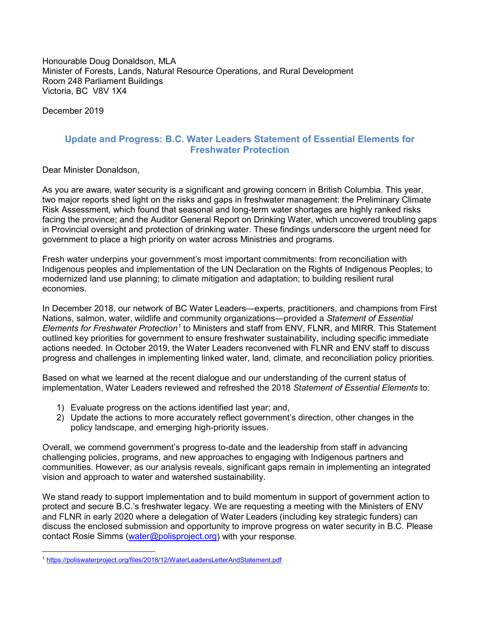Honourable Doug Donaldson, MLA Minister of Forests, Lands, Natural Resource Operations, and Rural Development Room 248 Parliament Buildings Victoria, BC V8V 1X4

December 2019

# **Update and Progress: B.C. Water Leaders Statement of Essential Elements for Freshwater Protection**

Dear Minister Donaldson,

As you are aware, water security is a significant and growing concern in British Columbia. This year, two major reports shed light on the risks and gaps in freshwater management: the Preliminary Climate Risk Assessment, which found that seasonal and long-term water shortages are highly ranked risks facing the province; and the Auditor General Report on Drinking Water, which uncovered troubling gaps in Provincial oversight and protection of drinking water. These findings underscore the urgent need for government to place a high priority on water across Ministries and programs.

Fresh water underpins your government's most important commitments: from reconciliation with Indigenous peoples and implementation of the UN Declaration on the Rights of Indigenous Peoples; to modernized land use planning; to climate mitigation and adaptation; to building resilient rural economies.

In December 2018, our network of BC Water Leaders—experts, practitioners, and champions from First Nations, salmon, water, wildlife and community organizations—provided a *Statement of Essential Elements for Freshwater Protection[1](#page-0-0)* to Ministers and staff from ENV, FLNR, and MIRR. This Statement outlined key priorities for government to ensure freshwater sustainability, including specific immediate actions needed. In October 2019, the Water Leaders reconvened with FLNR and ENV staff to discuss progress and challenges in implementing linked water, land, climate, and reconciliation policy priorities.

Based on what we learned at the recent dialogue and our understanding of the current status of implementation, Water Leaders reviewed and refreshed the 2018 *Statement of Essential Elements* to:

- 1) Evaluate progress on the actions identified last year; and,
- 2) Update the actions to more accurately reflect government's direction, other changes in the policy landscape, and emerging high-priority issues.

Overall, we commend government's progress to-date and the leadership from staff in advancing challenging policies, programs, and new approaches to engaging with Indigenous partners and communities. However, as our analysis reveals, significant gaps remain in implementing an integrated vision and approach to water and watershed sustainability.

We stand ready to support implementation and to build momentum in support of government action to protect and secure B.C.'s freshwater legacy. We are requesting a meeting with the Ministers of ENV and FLNR in early 2020 where a delegation of Water Leaders (including key strategic funders) can discuss the enclosed submission and opportunity to improve progress on water security in B.C. Please contact Rosie Simms [\(water@polisproject.org\)](mailto:water@polisproject.org) with your response.

<span id="page-0-0"></span><sup>1</sup> <https://poliswaterproject.org/files/2018/12/WaterLeadersLetterAndStatement.pdf>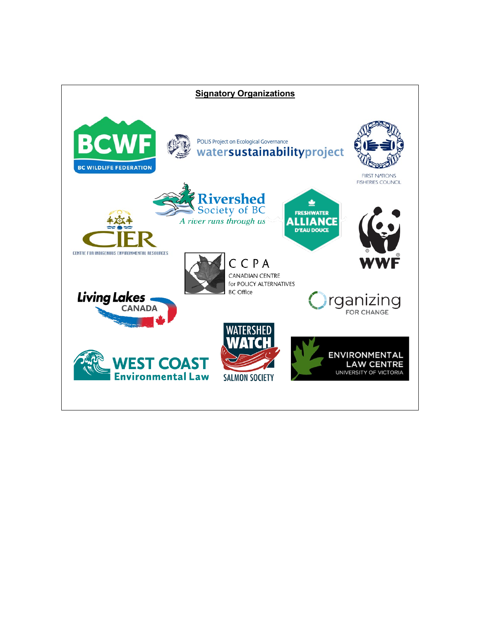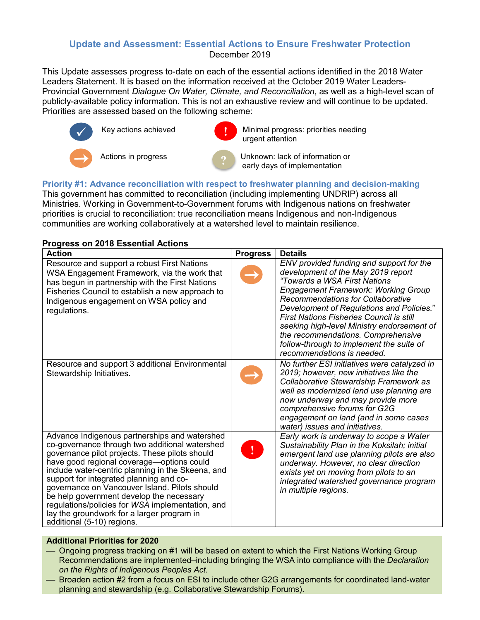# **Update and Assessment: Essential Actions to Ensure Freshwater Protection** December 2019

This Update assesses progress to-date on each of the essential actions identified in the 2018 Water Leaders Statement. It is based on the information received at the October 2019 Water Leaders-Provincial Government *Dialogue On Water, Climate, and Reconciliation*, as well as a high-level scan of publicly-available policy information. This is not an exhaustive review and will continue to be updated. Priorities are assessed based on the following scheme:



Key actions achieved

Minimal progress: priorities needing urgent attention

Actions in progress **Actional Connection** Unknown: lack of information or early days of implementation

#### **Priority #1: Advance reconciliation with respect to freshwater planning and decision-making** This government has committed to reconciliation (including implementing UNDRIP) across all Ministries. Working in Government-to-Government forums with Indigenous nations on freshwater priorities is crucial to reconciliation: true reconciliation means Indigenous and non-Indigenous communities are working collaboratively at a watershed level to maintain resilience.

## **Progress on 2018 Essential Actions**

| <b>Action</b>                                                                                                                                                                                                                                                                                                                                                                                                                                                                                                               | <b>Progress</b> | <b>Details</b>                                                                                                                                                                                                                                                                                                                                                                                                                                                         |
|-----------------------------------------------------------------------------------------------------------------------------------------------------------------------------------------------------------------------------------------------------------------------------------------------------------------------------------------------------------------------------------------------------------------------------------------------------------------------------------------------------------------------------|-----------------|------------------------------------------------------------------------------------------------------------------------------------------------------------------------------------------------------------------------------------------------------------------------------------------------------------------------------------------------------------------------------------------------------------------------------------------------------------------------|
| Resource and support a robust First Nations<br>WSA Engagement Framework, via the work that<br>has begun in partnership with the First Nations<br>Fisheries Council to establish a new approach to<br>Indigenous engagement on WSA policy and<br>regulations.                                                                                                                                                                                                                                                                |                 | ENV provided funding and support for the<br>development of the May 2019 report<br>"Towards a WSA First Nations<br><b>Engagement Framework: Working Group</b><br><b>Recommendations for Collaborative</b><br>Development of Regulations and Policies."<br><b>First Nations Fisheries Council is still</b><br>seeking high-level Ministry endorsement of<br>the recommendations. Comprehensive<br>follow-through to implement the suite of<br>recommendations is needed. |
| Resource and support 3 additional Environmental<br>Stewardship Initiatives.                                                                                                                                                                                                                                                                                                                                                                                                                                                 |                 | No further ESI initiatives were catalyzed in<br>2019; however, new initiatives like the<br>Collaborative Stewardship Framework as<br>well as modernized land use planning are<br>now underway and may provide more<br>comprehensive forums for G2G<br>engagement on land (and in some cases<br>water) issues and initiatives.                                                                                                                                          |
| Advance Indigenous partnerships and watershed<br>co-governance through two additional watershed<br>governance pilot projects. These pilots should<br>have good regional coverage-options could<br>include water-centric planning in the Skeena, and<br>support for integrated planning and co-<br>governance on Vancouver Island. Pilots should<br>be help government develop the necessary<br>regulations/policies for WSA implementation, and<br>lay the groundwork for a larger program in<br>additional (5-10) regions. |                 | Early work is underway to scope a Water<br>Sustainability Plan in the Koksilah; initial<br>emergent land use planning pilots are also<br>underway. However, no clear direction<br>exists yet on moving from pilots to an<br>integrated watershed governance program<br>in multiple regions.                                                                                                                                                                            |

## **Additional Priorities for 2020**

- Ongoing progress tracking on #1 will be based on extent to which the First Nations Working Group Recommendations are implemented–including bringing the WSA into compliance with the *Declaration on the Rights of Indigenous Peoples Act.*
- Broaden action #2 from a focus on ESI to include other G2G arrangements for coordinated land-water planning and stewardship (e.g. Collaborative Stewardship Forums).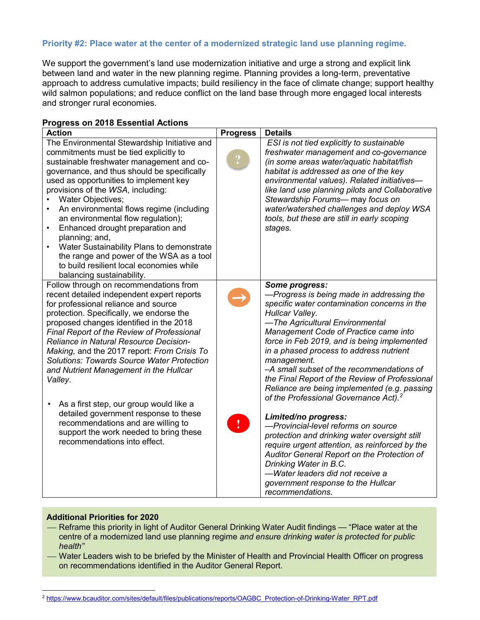## **Priority #2: Place water at the center of a modernized strategic land use planning regime.**

We support the government's land use modernization initiative and urge a strong and explicit link between land and water in the new planning regime. Planning provides a long-term, preventative approach to address cumulative impacts; build resiliency in the face of climate change; support healthy wild salmon populations; and reduce conflict on the land base through more engaged local interests and stronger rural economies.

| <b>1991099 OIL 2010 L9901IGHT ACGOIN</b><br>Action                                                                                                                                                                                                                                                                                                                                                                                                                                                                                                                                                                                                                              | <b>Progress</b> | <b>Details</b>                                                                                                                                                                                                                                                                                                                                                                                                                                                                                                                                                                                                                                                                                                                                                                                                                                                   |
|---------------------------------------------------------------------------------------------------------------------------------------------------------------------------------------------------------------------------------------------------------------------------------------------------------------------------------------------------------------------------------------------------------------------------------------------------------------------------------------------------------------------------------------------------------------------------------------------------------------------------------------------------------------------------------|-----------------|------------------------------------------------------------------------------------------------------------------------------------------------------------------------------------------------------------------------------------------------------------------------------------------------------------------------------------------------------------------------------------------------------------------------------------------------------------------------------------------------------------------------------------------------------------------------------------------------------------------------------------------------------------------------------------------------------------------------------------------------------------------------------------------------------------------------------------------------------------------|
| The Environmental Stewardship Initiative and<br>commitments must be tied explicitly to<br>sustainable freshwater management and co-<br>governance, and thus should be specifically<br>used as opportunities to implement key<br>provisions of the WSA, including:<br>Water Objectives;<br>An environmental flows regime (including<br>an environmental flow regulation);<br>Enhanced drought preparation and<br>planning; and,<br>Water Sustainability Plans to demonstrate<br>the range and power of the WSA as a tool<br>to build resilient local economies while<br>balancing sustainability.                                                                                |                 | ESI is not tied explicitly to sustainable<br>freshwater management and co-governance<br>(in some areas water/aquatic habitat/fish<br>habitat is addressed as one of the key<br>environmental values). Related initiatives-<br>like land use planning pilots and Collaborative<br>Stewardship Forums- may focus on<br>water/watershed challenges and deploy WSA<br>tools, but these are still in early scoping<br>stages.                                                                                                                                                                                                                                                                                                                                                                                                                                         |
| Follow through on recommendations from<br>recent detailed independent expert reports<br>for professional reliance and source<br>protection. Specifically, we endorse the<br>proposed changes identified in the 2018<br><b>Final Report of the Review of Professional</b><br>Reliance in Natural Resource Decision-<br>Making, and the 2017 report: From Crisis To<br><b>Solutions: Towards Source Water Protection</b><br>and Nutrient Management in the Hullcar<br>Valley.<br>As a first step, our group would like a<br>detailed government response to these<br>recommendations and are willing to<br>support the work needed to bring these<br>recommendations into effect. | $\mathbf{I}$    | Some progress:<br>-Progress is being made in addressing the<br>specific water contamination concerns in the<br>Hullcar Valley.<br>-The Agricultural Environmental<br>Management Code of Practice came into<br>force in Feb 2019, and is being implemented<br>in a phased process to address nutrient<br>management.<br>-A small subset of the recommendations of<br>the Final Report of the Review of Professional<br>Reliance are being implemented (e.g. passing<br>of the Professional Governance Act). <sup>2</sup><br>Limited/no progress:<br>-Provincial-level reforms on source<br>protection and drinking water oversight still<br>require urgent attention, as reinforced by the<br>Auditor General Report on the Protection of<br>Drinking Water in B.C.<br>-Water leaders did not receive a<br>government response to the Hullcar<br>recommendations. |

## **Progress on 2018 Essential Actions**

## **Additional Priorities for 2020**

- Reframe this priority in light of Auditor General Drinking Water Audit findings "Place water at the centre of a modernized land use planning regime *and ensure drinking water is protected for public health"*
- Water Leaders wish to be briefed by the Minister of Health and Provincial Health Officer on progress on recommendations identified in the Auditor General Report.

<span id="page-3-0"></span><sup>&</sup>lt;sup>2</sup> [https://www.bcauditor.com/sites/default/files/publications/reports/OAGBC\\_Protection-of-Drinking-Water\\_RPT.pdf](https://www.bcauditor.com/sites/default/files/publications/reports/OAGBC_Protection-of-Drinking-Water_RPT.pdf)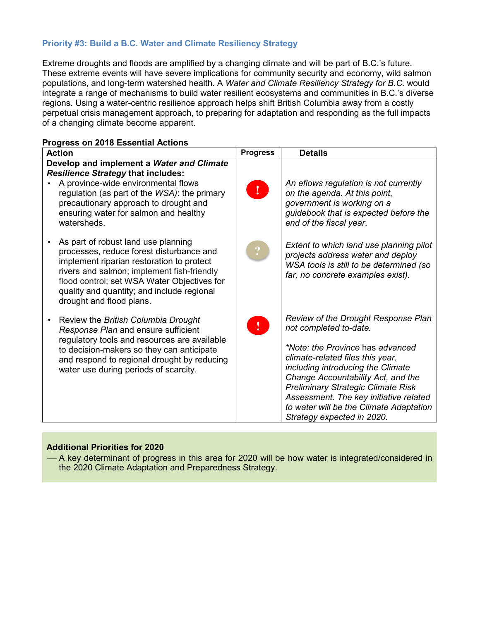## **Priority #3: Build a B.C. Water and Climate Resiliency Strategy**

Extreme droughts and floods are amplified by a changing climate and will be part of B.C.'s future. These extreme events will have severe implications for community security and economy, wild salmon populations, and long-term watershed health. A *Water and Climate Resiliency Strategy for B.C.* would integrate a range of mechanisms to build water resilient ecosystems and communities in B.C.'s diverse regions. Using a water-centric resilience approach helps shift British Columbia away from a costly perpetual crisis management approach, to preparing for adaptation and responding as the full impacts of a changing climate become apparent.

| <b>Action</b>                                                                                                                                                                                                                                                                                       | <b>Progress</b> | <b>Details</b>                                                                                                                                                                                                                                                                                                                                                                   |
|-----------------------------------------------------------------------------------------------------------------------------------------------------------------------------------------------------------------------------------------------------------------------------------------------------|-----------------|----------------------------------------------------------------------------------------------------------------------------------------------------------------------------------------------------------------------------------------------------------------------------------------------------------------------------------------------------------------------------------|
| Develop and implement a Water and Climate<br><b>Resilience Strategy that includes:</b><br>A province-wide environmental flows<br>regulation (as part of the WSA): the primary<br>precautionary approach to drought and<br>ensuring water for salmon and healthy<br>watersheds.                      | $\mathcal{L}$   | An eflows regulation is not currently<br>on the agenda. At this point,<br>government is working on a<br>guidebook that is expected before the<br>end of the fiscal year.                                                                                                                                                                                                         |
| As part of robust land use planning<br>processes, reduce forest disturbance and<br>implement riparian restoration to protect<br>rivers and salmon; implement fish-friendly<br>flood control; set WSA Water Objectives for<br>quality and quantity; and include regional<br>drought and flood plans. |                 | Extent to which land use planning pilot<br>projects address water and deploy<br>WSA tools is still to be determined (so<br>far, no concrete examples exist).                                                                                                                                                                                                                     |
| Review the British Columbia Drought<br>Response Plan and ensure sufficient<br>regulatory tools and resources are available<br>to decision-makers so they can anticipate<br>and respond to regional drought by reducing<br>water use during periods of scarcity.                                     | $\mathbf{I}$    | Review of the Drought Response Plan<br>not completed to-date.<br>*Note: the Province has advanced<br>climate-related files this year,<br>including introducing the Climate<br>Change Accountability Act, and the<br><b>Preliminary Strategic Climate Risk</b><br>Assessment. The key initiative related<br>to water will be the Climate Adaptation<br>Strategy expected in 2020. |

#### **Progress on 2018 Essential Actions**

#### **Additional Priorities for 2020**

 A key determinant of progress in this area for 2020 will be how water is integrated/considered in the 2020 Climate Adaptation and Preparedness Strategy.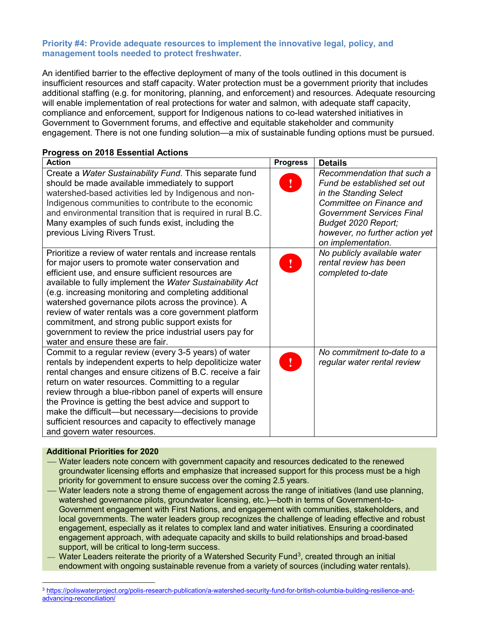#### **Priority #4: Provide adequate resources to implement the innovative legal, policy, and management tools needed to protect freshwater.**

An identified barrier to the effective deployment of many of the tools outlined in this document is insufficient resources and staff capacity. Water protection must be a government priority that includes additional staffing (e.g. for monitoring, planning, and enforcement) and resources. Adequate resourcing will enable implementation of real protections for water and salmon, with adequate staff capacity, compliance and enforcement, support for Indigenous nations to co-lead watershed initiatives in Government to Government forums, and effective and equitable stakeholder and community engagement. There is not one funding solution—a mix of sustainable funding options must be pursued.

# **Progress on 2018 Essential Actions**

| <b>Action</b>                                                                                                                                                                                                                                                                                                                                                                                                                                                                                                                                                  | <b>Progress</b> | <b>Details</b>                                                                                                                                                                                                                     |
|----------------------------------------------------------------------------------------------------------------------------------------------------------------------------------------------------------------------------------------------------------------------------------------------------------------------------------------------------------------------------------------------------------------------------------------------------------------------------------------------------------------------------------------------------------------|-----------------|------------------------------------------------------------------------------------------------------------------------------------------------------------------------------------------------------------------------------------|
| Create a Water Sustainability Fund. This separate fund<br>should be made available immediately to support<br>watershed-based activities led by Indigenous and non-<br>Indigenous communities to contribute to the economic<br>and environmental transition that is required in rural B.C.<br>Many examples of such funds exist, including the<br>previous Living Rivers Trust.                                                                                                                                                                                 |                 | Recommendation that such a<br>Fund be established set out<br>in the Standing Select<br>Committee on Finance and<br><b>Government Services Final</b><br>Budget 2020 Report;<br>however, no further action yet<br>on implementation. |
| Prioritize a review of water rentals and increase rentals<br>for major users to promote water conservation and<br>efficient use, and ensure sufficient resources are<br>available to fully implement the Water Sustainability Act<br>(e.g. increasing monitoring and completing additional<br>watershed governance pilots across the province). A<br>review of water rentals was a core government platform<br>commitment, and strong public support exists for<br>government to review the price industrial users pay for<br>water and ensure these are fair. |                 | No publicly available water<br>rental review has been<br>completed to-date                                                                                                                                                         |
| Commit to a regular review (every 3-5 years) of water<br>rentals by independent experts to help depoliticize water<br>rental changes and ensure citizens of B.C. receive a fair<br>return on water resources. Committing to a regular<br>review through a blue-ribbon panel of experts will ensure<br>the Province is getting the best advice and support to<br>make the difficult—but necessary—decisions to provide<br>sufficient resources and capacity to effectively manage<br>and govern water resources.                                                |                 | No commitment to-date to a<br>regular water rental review                                                                                                                                                                          |

#### **Additional Priorities for 2020**

- Water leaders note concern with government capacity and resources dedicated to the renewed groundwater licensing efforts and emphasize that increased support for this process must be a high priority for government to ensure success over the coming 2.5 years.
- Water leaders note a strong theme of engagement across the range of initiatives (land use planning, watershed governance pilots, groundwater licensing, etc.)—both in terms of Government-to-Government engagement with First Nations, and engagement with communities, stakeholders, and local governments. The water leaders group recognizes the challenge of leading effective and robust engagement, especially as it relates to complex land and water initiatives. Ensuring a coordinated engagement approach, with adequate capacity and skills to build relationships and broad-based support, will be critical to long-term success.
- Water Leaders reiterate the priority of a Watershed Security Fund<sup>3</sup>, created through an initial endowment with ongoing sustainable revenue from a variety of sources (including water rentals).

<span id="page-5-0"></span><sup>3</sup> [https://poliswaterproject.org/polis-research-publication/a-watershed-security-fund-for-british-columbia-building-resilience-and](https://poliswaterproject.org/polis-research-publication/a-watershed-security-fund-for-british-columbia-building-resilience-and-advancing-reconciliation/)[advancing-reconciliation/](https://poliswaterproject.org/polis-research-publication/a-watershed-security-fund-for-british-columbia-building-resilience-and-advancing-reconciliation/)